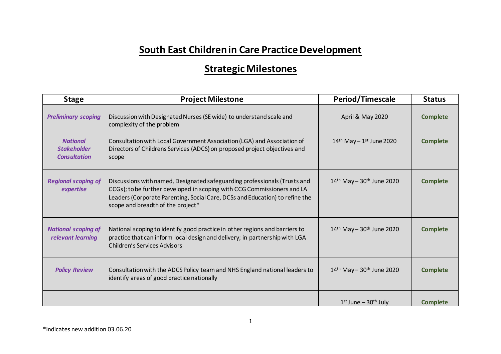## **South East Children in Care Practice Development**

## **Strategic Milestones**

| <b>Stage</b>                                                 | <b>Project Milestone</b>                                                                                                                                                                                                                                                  | Period/Timescale                                      | <b>Status</b>   |
|--------------------------------------------------------------|---------------------------------------------------------------------------------------------------------------------------------------------------------------------------------------------------------------------------------------------------------------------------|-------------------------------------------------------|-----------------|
| <b>Preliminary scoping</b>                                   | Discussion with Designated Nurses (SE wide) to understand scale and<br>complexity of the problem                                                                                                                                                                          | April & May 2020                                      | <b>Complete</b> |
| <b>National</b><br><b>Stakeholder</b><br><b>Consultation</b> | Consultation with Local Government Association (LGA) and Association of<br>Directors of Childrens Services (ADCS) on proposed project objectives and<br>scope                                                                                                             | $14th$ May - $1st$ June 2020                          | <b>Complete</b> |
| <b>Regional scoping of</b><br>expertise                      | Discussions with named, Designated safeguarding professionals (Trusts and<br>CCGs); to be further developed in scoping with CCG Commissioners and LA<br>Leaders (Corporate Parenting, Social Care, DCSs and Education) to refine the<br>scope and breadth of the project* | $14$ <sup>th</sup> May - $30$ <sup>th</sup> June 2020 | <b>Complete</b> |
| <b>National scoping of</b><br>relevant learning              | National scoping to identify good practice in other regions and barriers to<br>practice that can inform local design and delivery; in partnership with LGA<br><b>Children's Services Advisors</b>                                                                         | $14$ <sup>th</sup> May - $30$ <sup>th</sup> June 2020 | <b>Complete</b> |
| <b>Policy Review</b>                                         | Consultation with the ADCS Policy team and NHS England national leaders to<br>identify areas of good practice nationally                                                                                                                                                  | $14$ <sup>th</sup> May - $30$ <sup>th</sup> June 2020 | <b>Complete</b> |
|                                                              |                                                                                                                                                                                                                                                                           | $1st$ June – $30th$ July                              | <b>Complete</b> |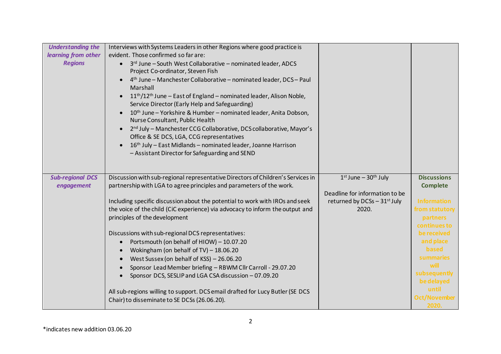| <b>Understanding the</b><br>learning from other<br><b>Regions</b> | Interviews with Systems Leaders in other Regions where good practice is<br>evident. Those confirmed so far are:<br>• 3rd June - South West Collaborative - nominated leader, ADCS<br>Project Co-ordinator, Steven Fish<br>4th June - Manchester Collaborative - nominated leader, DCS - Paul<br>Marshall<br>11 <sup>th</sup> /12 <sup>th</sup> June – East of England – nominated leader, Alison Noble,<br>Service Director (Early Help and Safeguarding)<br>10 <sup>th</sup> June - Yorkshire & Humber - nominated leader, Anita Dobson,<br>Nurse Consultant, Public Health<br>2 <sup>nd</sup> July - Manchester CCG Collaborative, DCS collaborative, Mayor's<br>Office & SE DCS, LGA, CCG representatives<br>16th July - East Midlands - nominated leader, Joanne Harrison<br>- Assistant Director for Safeguarding and SEND |                                                                                                                  |                                                                                                                                                                                                                                     |
|-------------------------------------------------------------------|---------------------------------------------------------------------------------------------------------------------------------------------------------------------------------------------------------------------------------------------------------------------------------------------------------------------------------------------------------------------------------------------------------------------------------------------------------------------------------------------------------------------------------------------------------------------------------------------------------------------------------------------------------------------------------------------------------------------------------------------------------------------------------------------------------------------------------|------------------------------------------------------------------------------------------------------------------|-------------------------------------------------------------------------------------------------------------------------------------------------------------------------------------------------------------------------------------|
| <b>Sub-regional DCS</b><br>engagement                             | Discussion with sub-regional representative Directors of Children's Services in<br>partnership with LGA to agree principles and parameters of the work.<br>Including specific discussion about the potential to work with IROs and seek<br>the voice of the child (CiC experience) via advocacy to inform the output and<br>principles of the development<br>Discussions with sub-regional DCS representatives:<br>Portsmouth (on behalf of HIOW) - 10.07.20<br>Wokingham (on behalf of TV) $- 18.06.20$<br>West Sussex (on behalf of KSS) - 26.06.20<br>Sponsor Lead Member briefing - RBWM Cllr Carroll - 29.07.20<br>Sponsor DCS, SESLIP and LGA CSA discussion - 07.09.20<br>All sub-regions willing to support. DCS email drafted for Lucy Butler (SE DCS<br>Chair) to disseminate to SE DCSs (26.06.20).                  | $1st$ June – $30th$ July<br>Deadline for information to be<br>returned by DCSs $-31$ <sup>st</sup> July<br>2020. | <b>Discussions</b><br><b>Complete</b><br><b>Information</b><br>from statutory<br>partners<br>continues to<br>be received<br>and place<br>based<br>summaries<br>will<br>subsequently<br>be delayed<br>until<br>Oct/November<br>2020. |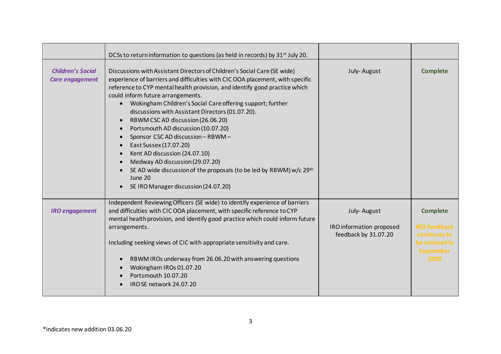|                                                    | DCSs to return information to questions (as held in records) by 31 <sup>st</sup> July 20.                                                                                                                                                                                                                                                                                                                                                                                                                                                                                                                                                                                                                                                            |                                                                 |                                                                                                      |
|----------------------------------------------------|------------------------------------------------------------------------------------------------------------------------------------------------------------------------------------------------------------------------------------------------------------------------------------------------------------------------------------------------------------------------------------------------------------------------------------------------------------------------------------------------------------------------------------------------------------------------------------------------------------------------------------------------------------------------------------------------------------------------------------------------------|-----------------------------------------------------------------|------------------------------------------------------------------------------------------------------|
| <b>Children's Social</b><br><b>Care engagement</b> | Discussions with Assistant Directors of Children's Social Care (SE wide)<br>experience of barriers and difficulties with CIC OOA placement, with specific<br>reference to CYP mental health provision, and identify good practice which<br>could inform future arrangements.<br>Wokingham Children's Social Care offering support; further<br>discussions with Assistant Directors (01.07.20).<br>RBWM CSC AD discussion (26.06.20)<br>Portsmouth AD discussion (10.07.20)<br>Sponsor CSC AD discussion - RBWM -<br>East Sussex (17.07.20)<br>Kent AD discussion (24.07.10)<br>Medway AD discussion (29.07.20)<br>SE AD wide discussion of the proposals (to be led by RBWM) w/c 29 <sup>th</sup><br>June 20<br>SE IRO Manager discussion (24.07.20) | July-August                                                     | <b>Complete</b>                                                                                      |
| <b>IRO</b> engagement                              | Independent Reviewing Officers (SE wide) to identify experience of barriers<br>and difficulties with CIC OOA placement, with specific reference to CYP<br>mental health provision, and identify good practice which could inform future<br>arrangements.<br>Including seeking views of CIC with appropriate sensitivity and care.<br>RBWM IROs underway from 26.06.20 with answering questions<br>Wokingham IROs 01.07.20<br>Portsmouth 10.07.20<br>IRO SE network 24.07.20                                                                                                                                                                                                                                                                          | July-August<br>IRO information proposed<br>feedback by 31.07.20 | <b>Complete</b><br><b>IRO Feedback</b><br>continues to<br>be received in<br><b>September</b><br>2020 |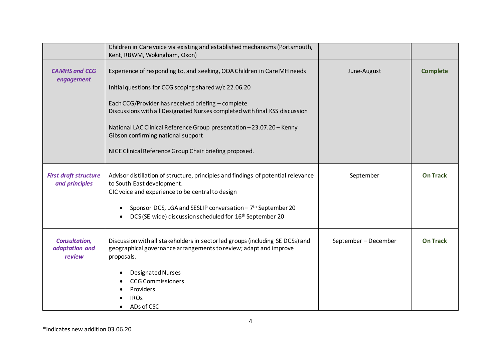|                                                  | Children in Care voice via existing and established mechanisms (Portsmouth,<br>Kent, RBWM, Wokingham, Oxon)                                                                                                                                                                                                                                                                                                                                   |                      |                 |
|--------------------------------------------------|-----------------------------------------------------------------------------------------------------------------------------------------------------------------------------------------------------------------------------------------------------------------------------------------------------------------------------------------------------------------------------------------------------------------------------------------------|----------------------|-----------------|
| <b>CAMHS and CCG</b><br>engagement               | Experience of responding to, and seeking, OOA Children in Care MH needs<br>Initial questions for CCG scoping shared w/c 22.06.20<br>Each CCG/Provider has received briefing - complete<br>Discussions with all Designated Nurses completed with final KSS discussion<br>National LAC Clinical Reference Group presentation - 23.07.20 - Kenny<br>Gibson confirming national support<br>NICE Clinical Reference Group Chair briefing proposed. | June-August          | <b>Complete</b> |
| <b>First draft structure</b><br>and principles   | Advisor distillation of structure, principles and findings of potential relevance<br>to South East development.<br>CIC voice and experience to be central to design<br>Sponsor DCS, LGA and SESLIP conversation - 7 <sup>th</sup> September 20<br>DCS (SE wide) discussion scheduled for 16 <sup>th</sup> September 20                                                                                                                        | September            | <b>On Track</b> |
| <b>Consultation,</b><br>adaptation and<br>review | Discussion with all stakeholders in sector led groups (including SE DCSs) and<br>geographical governance arrangements to review; adapt and improve<br>proposals.<br>Designated Nurses<br><b>CCG Commissioners</b><br>Providers<br><b>IROS</b><br>ADs of CSC                                                                                                                                                                                   | September - December | <b>On Track</b> |